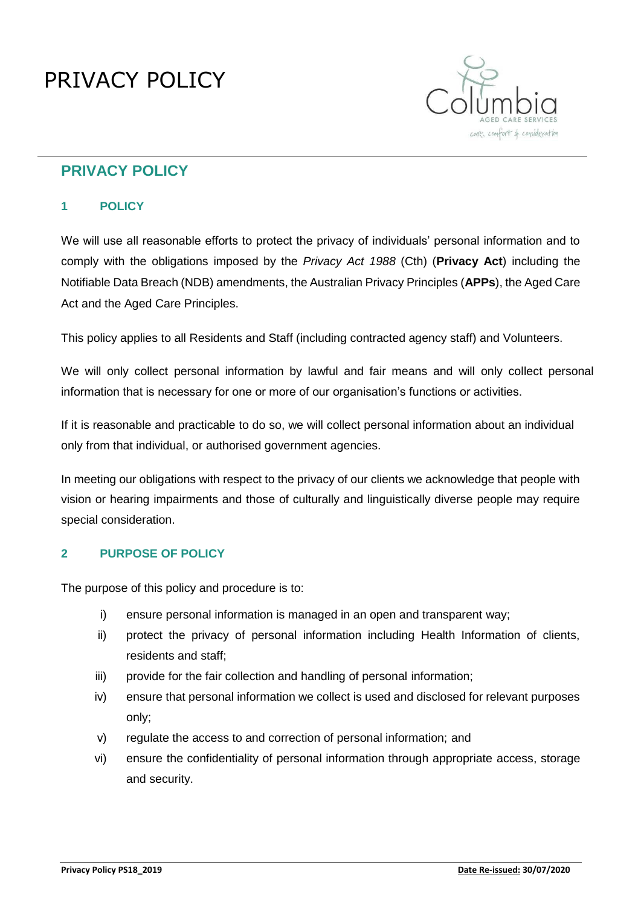# PRIVACY POLICY



## **PRIVACY POLICY**

## **1 POLICY**

We will use all reasonable efforts to protect the privacy of individuals' personal information and to comply with the obligations imposed by the *Privacy Act 1988* (Cth) (**Privacy Act**) including the Notifiable Data Breach (NDB) amendments, the Australian Privacy Principles (**APPs**), the Aged Care Act and the Aged Care Principles.

This policy applies to all Residents and Staff (including contracted agency staff) and Volunteers.

We will only collect personal information by lawful and fair means and will only collect personal information that is necessary for one or more of our organisation's functions or activities.

If it is reasonable and practicable to do so, we will collect personal information about an individual only from that individual, or authorised government agencies.

In meeting our obligations with respect to the privacy of our clients we acknowledge that people with vision or hearing impairments and those of culturally and linguistically diverse people may require special consideration.

## **2 PURPOSE OF POLICY**

The purpose of this policy and procedure is to:

- i) ensure personal information is managed in an open and transparent way;
- ii) protect the privacy of personal information including Health Information of clients, residents and staff;
- iii) provide for the fair collection and handling of personal information;
- iv) ensure that personal information we collect is used and disclosed for relevant purposes only;
- v) regulate the access to and correction of personal information; and
- vi) ensure the confidentiality of personal information through appropriate access, storage and security.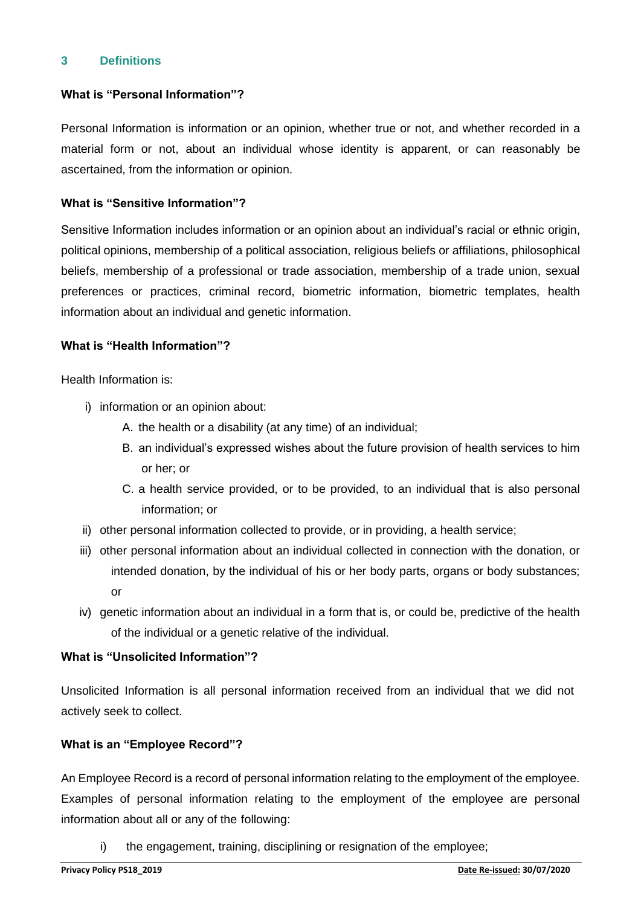## **3 Definitions**

#### **What is "Personal Information"?**

Personal Information is information or an opinion, whether true or not, and whether recorded in a material form or not, about an individual whose identity is apparent, or can reasonably be ascertained, from the information or opinion.

## **What is "Sensitive Information"?**

Sensitive Information includes information or an opinion about an individual's racial or ethnic origin, political opinions, membership of a political association, religious beliefs or affiliations, philosophical beliefs, membership of a professional or trade association, membership of a trade union, sexual preferences or practices, criminal record, biometric information, biometric templates, health information about an individual and genetic information.

#### **What is "Health Information"?**

Health Information is:

- i) information or an opinion about:
	- A. the health or a disability (at any time) of an individual;
	- B. an individual's expressed wishes about the future provision of health services to him or her; or
	- C. a health service provided, or to be provided, to an individual that is also personal information; or
- ii) other personal information collected to provide, or in providing, a health service;
- iii) other personal information about an individual collected in connection with the donation, or intended donation, by the individual of his or her body parts, organs or body substances; or
- iv) genetic information about an individual in a form that is, or could be, predictive of the health of the individual or a genetic relative of the individual.

## **What is "Unsolicited Information"?**

Unsolicited Information is all personal information received from an individual that we did not actively seek to collect.

## **What is an "Employee Record"?**

An Employee Record is a record of personal information relating to the employment of the employee. Examples of personal information relating to the employment of the employee are personal information about all or any of the following:

i) the engagement, training, disciplining or resignation of the employee;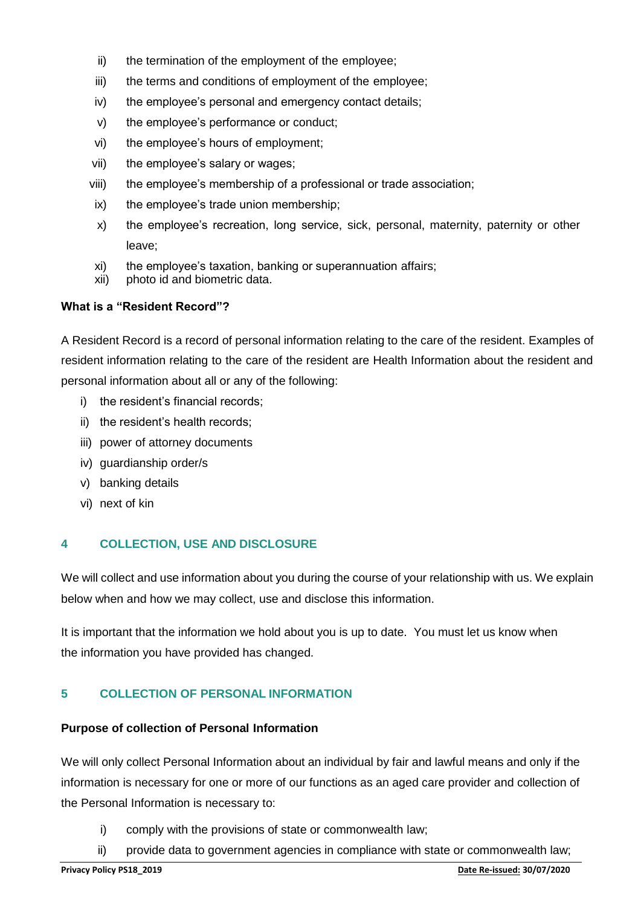- ii) the termination of the employment of the employee;
- iii) the terms and conditions of employment of the employee;
- iv) the employee's personal and emergency contact details;
- v) the employee's performance or conduct;
- vi) the employee's hours of employment;
- vii) the employee's salary or wages;
- viii) the employee's membership of a professional or trade association;
- ix) the employee's trade union membership;
- x) the employee's recreation, long service, sick, personal, maternity, paternity or other leave;
- xi) the employee's taxation, banking or superannuation affairs;
- xii) photo id and biometric data.

## **What is a "Resident Record"?**

A Resident Record is a record of personal information relating to the care of the resident. Examples of resident information relating to the care of the resident are Health Information about the resident and personal information about all or any of the following:

- i) the resident's financial records;
- ii) the resident's health records;
- iii) power of attorney documents
- iv) guardianship order/s
- v) banking details
- vi) next of kin

## **4 COLLECTION, USE AND DISCLOSURE**

We will collect and use information about you during the course of your relationship with us. We explain below when and how we may collect, use and disclose this information.

It is important that the information we hold about you is up to date. You must let us know when the information you have provided has changed.

## **5 COLLECTION OF PERSONAL INFORMATION**

#### **Purpose of collection of Personal Information**

We will only collect Personal Information about an individual by fair and lawful means and only if the information is necessary for one or more of our functions as an aged care provider and collection of the Personal Information is necessary to:

- i) comply with the provisions of state or commonwealth law;
- ii) provide data to government agencies in compliance with state or commonwealth law;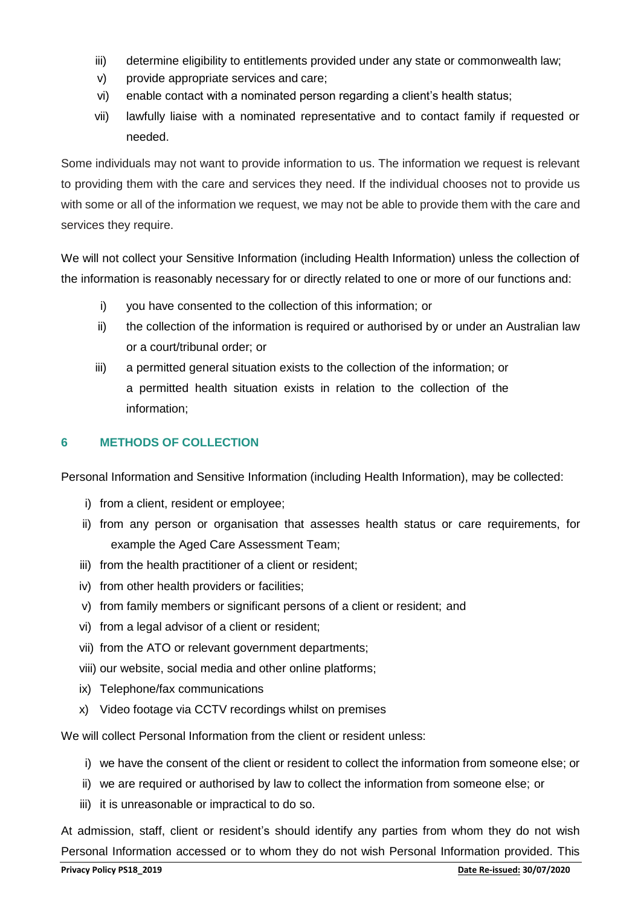- iii) determine eligibility to entitlements provided under any state or commonwealth law;
- v) provide appropriate services and care;
- vi) enable contact with a nominated person regarding a client's health status;
- vii) lawfully liaise with a nominated representative and to contact family if requested or needed.

Some individuals may not want to provide information to us. The information we request is relevant to providing them with the care and services they need. If the individual chooses not to provide us with some or all of the information we request, we may not be able to provide them with the care and services they require.

We will not collect your Sensitive Information (including Health Information) unless the collection of the information is reasonably necessary for or directly related to one or more of our functions and:

- i) you have consented to the collection of this information; or
- ii) the collection of the information is required or authorised by or under an Australian law or a court/tribunal order; or
- iii) a permitted general situation exists to the collection of the information; or a permitted health situation exists in relation to the collection of the information;

## **6 METHODS OF COLLECTION**

Personal Information and Sensitive Information (including Health Information), may be collected:

- i) from a client, resident or employee;
- ii) from any person or organisation that assesses health status or care requirements, for example the Aged Care Assessment Team;
- iii) from the health practitioner of a client or resident;
- iv) from other health providers or facilities;
- v) from family members or significant persons of a client or resident; and
- vi) from a legal advisor of a client or resident;
- vii) from the ATO or relevant government departments;
- viii) our website, social media and other online platforms;
- ix) Telephone/fax communications
- x) Video footage via CCTV recordings whilst on premises

We will collect Personal Information from the client or resident unless:

- i) we have the consent of the client or resident to collect the information from someone else; or
- ii) we are required or authorised by law to collect the information from someone else; or
- iii) it is unreasonable or impractical to do so.

At admission, staff, client or resident's should identify any parties from whom they do not wish Personal Information accessed or to whom they do not wish Personal Information provided. This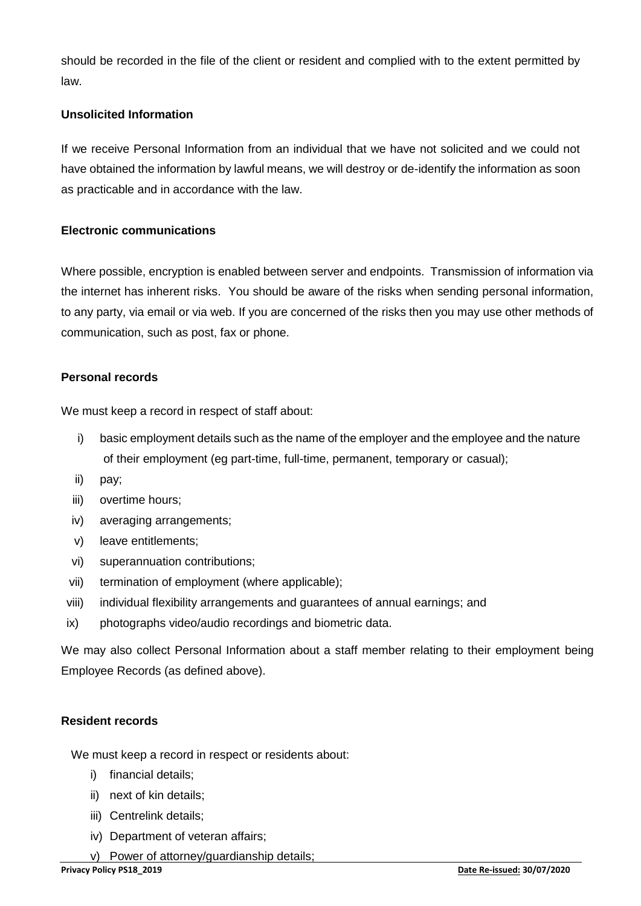should be recorded in the file of the client or resident and complied with to the extent permitted by law.

## **Unsolicited Information**

If we receive Personal Information from an individual that we have not solicited and we could not have obtained the information by lawful means, we will destroy or de-identify the information as soon as practicable and in accordance with the law.

#### **Electronic communications**

Where possible, encryption is enabled between server and endpoints. Transmission of information via the internet has inherent risks. You should be aware of the risks when sending personal information, to any party, via email or via web. If you are concerned of the risks then you may use other methods of communication, such as post, fax or phone.

## **Personal records**

We must keep a record in respect of staff about:

- i) basic employment details such as the name of the employer and the employee and the nature of their employment (eg part-time, full-time, permanent, temporary or casual);
- ii) pay;
- iii) overtime hours;
- iv) averaging arrangements;
- v) leave entitlements;
- vi) superannuation contributions;
- vii) termination of employment (where applicable);
- viii) individual flexibility arrangements and guarantees of annual earnings; and
- ix) photographs video/audio recordings and biometric data.

We may also collect Personal Information about a staff member relating to their employment being Employee Records (as defined above).

#### **Resident records**

We must keep a record in respect or residents about:

- i) financial details;
- ii) next of kin details;
- iii) Centrelink details;
- iv) Department of veteran affairs;
- v) Power of attorney/guardianship details;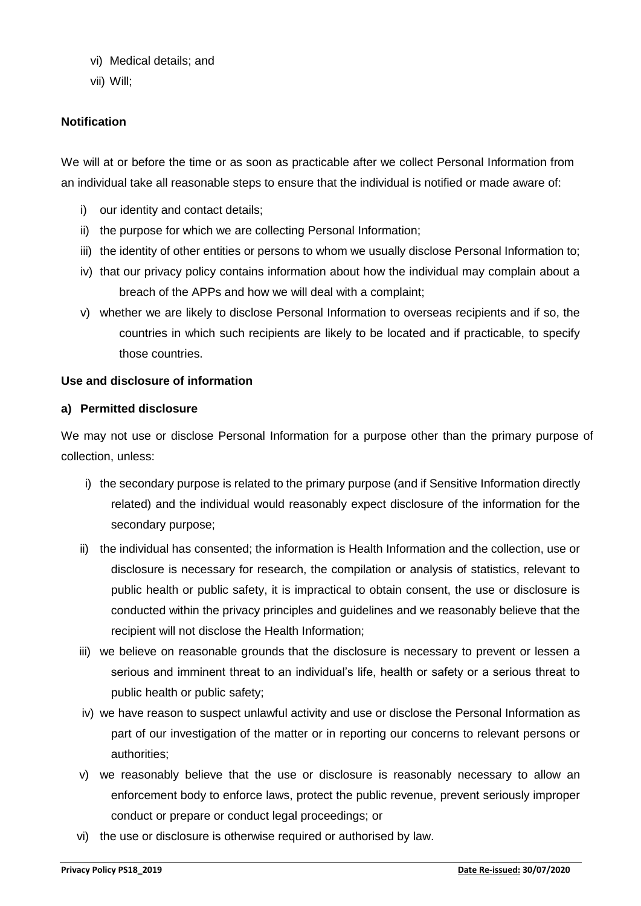- vi) Medical details; and
- vii) Will;

## **Notification**

We will at or before the time or as soon as practicable after we collect Personal Information from an individual take all reasonable steps to ensure that the individual is notified or made aware of:

- i) our identity and contact details;
- ii) the purpose for which we are collecting Personal Information;
- iii) the identity of other entities or persons to whom we usually disclose Personal Information to;
- iv) that our privacy policy contains information about how the individual may complain about a breach of the APPs and how we will deal with a complaint;
- v) whether we are likely to disclose Personal Information to overseas recipients and if so, the countries in which such recipients are likely to be located and if practicable, to specify those countries.

#### **Use and disclosure of information**

#### **a) Permitted disclosure**

We may not use or disclose Personal Information for a purpose other than the primary purpose of collection, unless:

- i) the secondary purpose is related to the primary purpose (and if Sensitive Information directly related) and the individual would reasonably expect disclosure of the information for the secondary purpose;
- ii) the individual has consented; the information is Health Information and the collection, use or disclosure is necessary for research, the compilation or analysis of statistics, relevant to public health or public safety, it is impractical to obtain consent, the use or disclosure is conducted within the privacy principles and guidelines and we reasonably believe that the recipient will not disclose the Health Information;
- iii) we believe on reasonable grounds that the disclosure is necessary to prevent or lessen a serious and imminent threat to an individual's life, health or safety or a serious threat to public health or public safety;
- iv) we have reason to suspect unlawful activity and use or disclose the Personal Information as part of our investigation of the matter or in reporting our concerns to relevant persons or authorities;
- v) we reasonably believe that the use or disclosure is reasonably necessary to allow an enforcement body to enforce laws, protect the public revenue, prevent seriously improper conduct or prepare or conduct legal proceedings; or
- vi) the use or disclosure is otherwise required or authorised by law.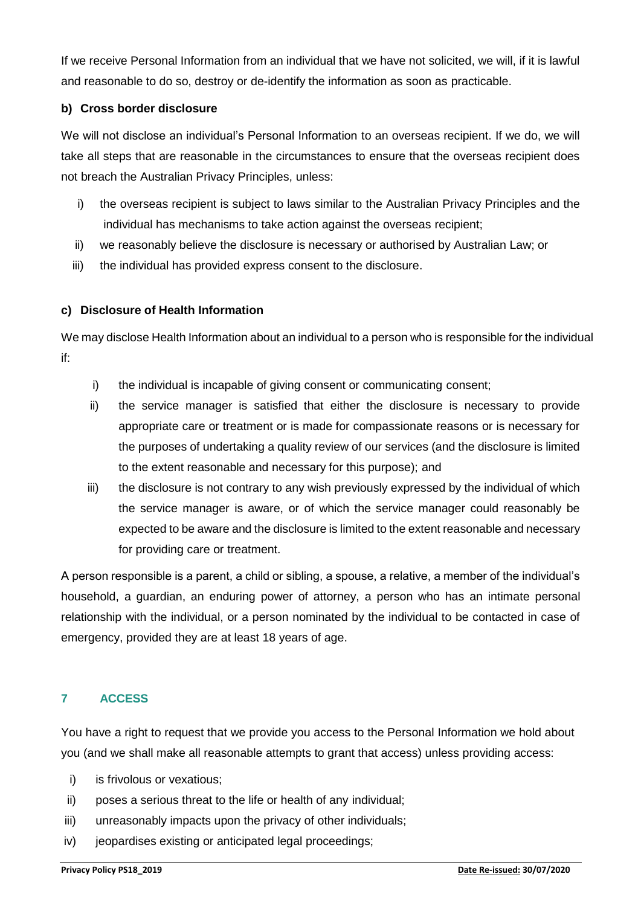If we receive Personal Information from an individual that we have not solicited, we will, if it is lawful and reasonable to do so, destroy or de-identify the information as soon as practicable.

## **b) Cross border disclosure**

We will not disclose an individual's Personal Information to an overseas recipient. If we do, we will take all steps that are reasonable in the circumstances to ensure that the overseas recipient does not breach the Australian Privacy Principles, unless:

- i) the overseas recipient is subject to laws similar to the Australian Privacy Principles and the individual has mechanisms to take action against the overseas recipient;
- ii) we reasonably believe the disclosure is necessary or authorised by Australian Law; or
- iii) the individual has provided express consent to the disclosure.

## **c) Disclosure of Health Information**

We may disclose Health Information about an individual to a person who is responsible for the individual if:

- i) the individual is incapable of giving consent or communicating consent;
- ii) the service manager is satisfied that either the disclosure is necessary to provide appropriate care or treatment or is made for compassionate reasons or is necessary for the purposes of undertaking a quality review of our services (and the disclosure is limited to the extent reasonable and necessary for this purpose); and
- iii) the disclosure is not contrary to any wish previously expressed by the individual of which the service manager is aware, or of which the service manager could reasonably be expected to be aware and the disclosure is limited to the extent reasonable and necessary for providing care or treatment.

A person responsible is a parent, a child or sibling, a spouse, a relative, a member of the individual's household, a guardian, an enduring power of attorney, a person who has an intimate personal relationship with the individual, or a person nominated by the individual to be contacted in case of emergency, provided they are at least 18 years of age.

## **7 ACCESS**

You have a right to request that we provide you access to the Personal Information we hold about you (and we shall make all reasonable attempts to grant that access) unless providing access:

- i) is frivolous or vexatious;
- ii) poses a serious threat to the life or health of any individual;
- iii) unreasonably impacts upon the privacy of other individuals;
- iv) jeopardises existing or anticipated legal proceedings;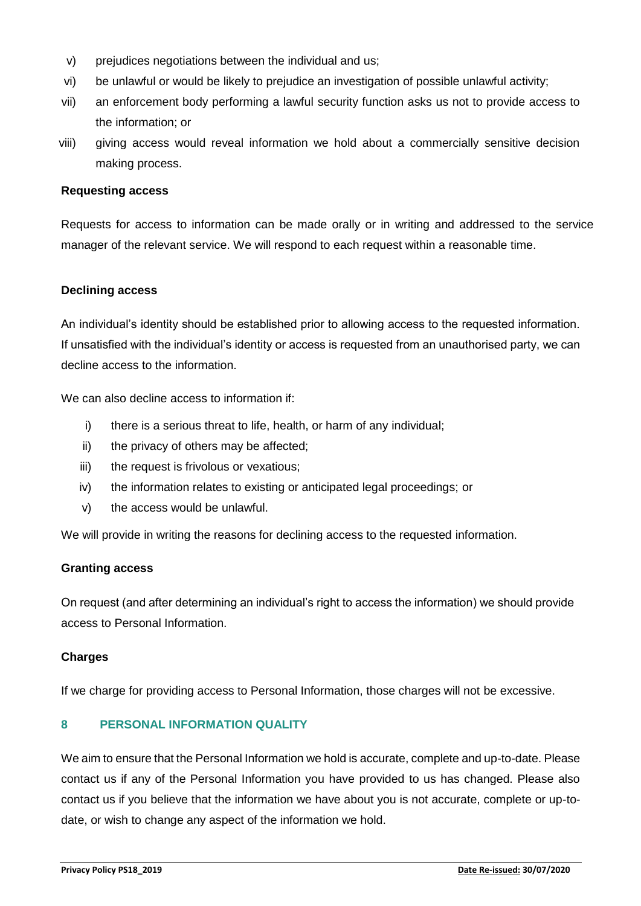- v) prejudices negotiations between the individual and us;
- vi) be unlawful or would be likely to prejudice an investigation of possible unlawful activity;
- vii) an enforcement body performing a lawful security function asks us not to provide access to the information; or
- viii) giving access would reveal information we hold about a commercially sensitive decision making process.

#### **Requesting access**

Requests for access to information can be made orally or in writing and addressed to the service manager of the relevant service. We will respond to each request within a reasonable time.

#### **Declining access**

An individual's identity should be established prior to allowing access to the requested information. If unsatisfied with the individual's identity or access is requested from an unauthorised party, we can decline access to the information.

We can also decline access to information if:

- i) there is a serious threat to life, health, or harm of any individual;
- ii) the privacy of others may be affected;
- iii) the request is frivolous or vexatious;
- iv) the information relates to existing or anticipated legal proceedings; or
- v) the access would be unlawful.

We will provide in writing the reasons for declining access to the requested information.

#### **Granting access**

On request (and after determining an individual's right to access the information) we should provide access to Personal Information.

#### **Charges**

If we charge for providing access to Personal Information, those charges will not be excessive.

## **8 PERSONAL INFORMATION QUALITY**

We aim to ensure that the Personal Information we hold is accurate, complete and up-to-date. Please contact us if any of the Personal Information you have provided to us has changed. Please also contact us if you believe that the information we have about you is not accurate, complete or up-todate, or wish to change any aspect of the information we hold.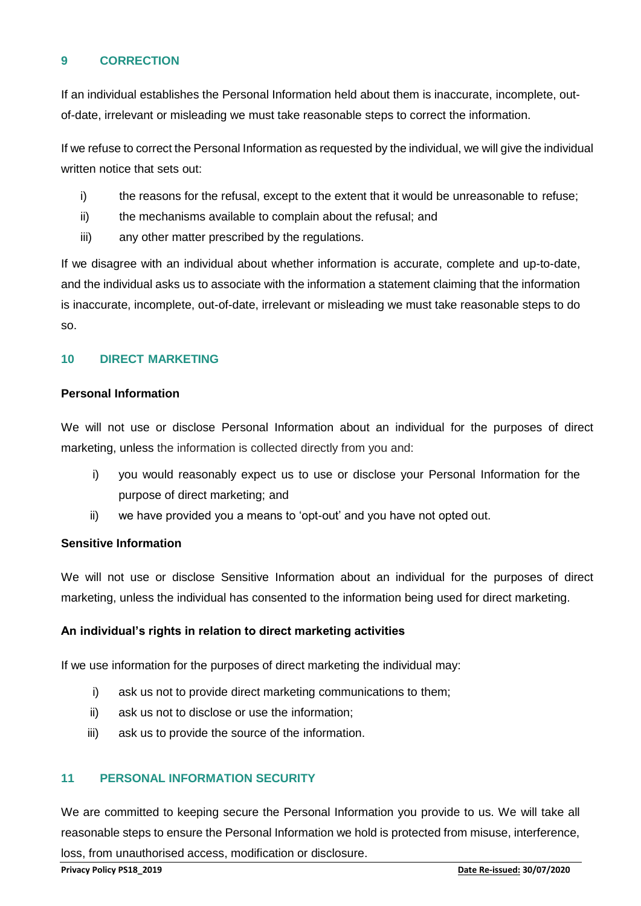## **9 CORRECTION**

If an individual establishes the Personal Information held about them is inaccurate, incomplete, outof-date, irrelevant or misleading we must take reasonable steps to correct the information.

If we refuse to correct the Personal Information as requested by the individual, we will give the individual written notice that sets out:

- i) the reasons for the refusal, except to the extent that it would be unreasonable to refuse;
- ii) the mechanisms available to complain about the refusal; and
- iii) any other matter prescribed by the regulations.

If we disagree with an individual about whether information is accurate, complete and up-to-date, and the individual asks us to associate with the information a statement claiming that the information is inaccurate, incomplete, out-of-date, irrelevant or misleading we must take reasonable steps to do so.

## **10 DIRECT MARKETING**

#### **Personal Information**

We will not use or disclose Personal Information about an individual for the purposes of direct marketing, unless the information is collected directly from you and:

- i) you would reasonably expect us to use or disclose your Personal Information for the purpose of direct marketing; and
- ii) we have provided you a means to 'opt-out' and you have not opted out.

#### **Sensitive Information**

We will not use or disclose Sensitive Information about an individual for the purposes of direct marketing, unless the individual has consented to the information being used for direct marketing.

#### **An individual's rights in relation to direct marketing activities**

If we use information for the purposes of direct marketing the individual may:

- i) ask us not to provide direct marketing communications to them;
- ii) ask us not to disclose or use the information;
- iii) ask us to provide the source of the information.

## **11 PERSONAL INFORMATION SECURITY**

We are committed to keeping secure the Personal Information you provide to us. We will take all reasonable steps to ensure the Personal Information we hold is protected from misuse, interference, loss, from unauthorised access, modification or disclosure.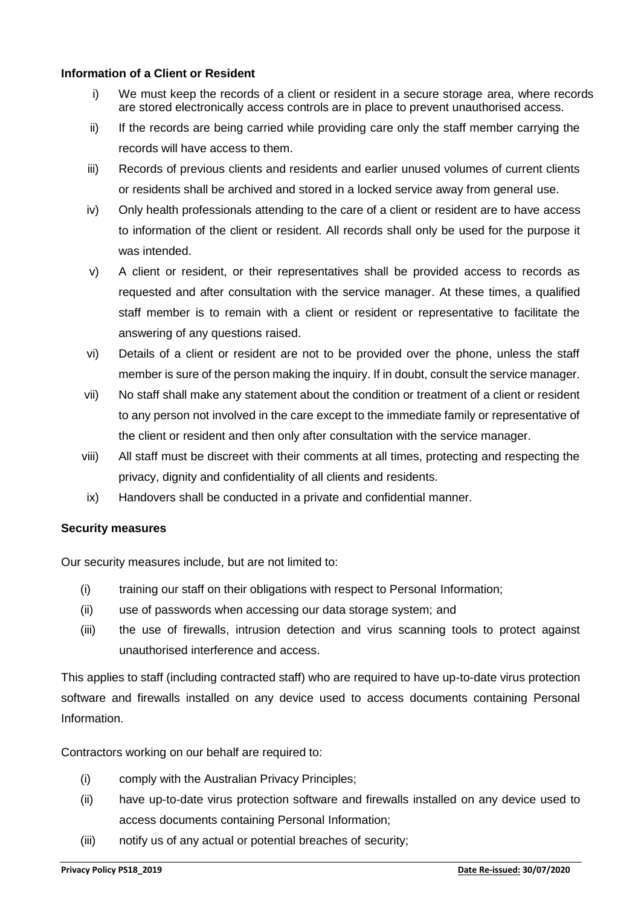#### **Information of a Client or Resident**

- i) We must keep the records of a client or resident in a secure storage area, where records are stored electronically access controls are in place to prevent unauthorised access.
- ii) If the records are being carried while providing care only the staff member carrying the records will have access to them.
- iii) Records of previous clients and residents and earlier unused volumes of current clients or residents shall be archived and stored in a locked service away from general use.
- iv) Only health professionals attending to the care of a client or resident are to have access to information of the client or resident. All records shall only be used for the purpose it was intended.
- v) A client or resident, or their representatives shall be provided access to records as requested and after consultation with the service manager. At these times, a qualified staff member is to remain with a client or resident or representative to facilitate the answering of any questions raised.
- vi) Details of a client or resident are not to be provided over the phone, unless the staff member is sure of the person making the inquiry. If in doubt, consult the service manager.
- vii) No staff shall make any statement about the condition or treatment of a client or resident to any person not involved in the care except to the immediate family or representative of the client or resident and then only after consultation with the service manager.
- viii) All staff must be discreet with their comments at all times, protecting and respecting the privacy, dignity and confidentiality of all clients and residents.
- ix) Handovers shall be conducted in a private and confidential manner.

#### **Security measures**

Our security measures include, but are not limited to:

- (i) training our staff on their obligations with respect to Personal Information;
- (ii) use of passwords when accessing our data storage system; and
- (iii) the use of firewalls, intrusion detection and virus scanning tools to protect against unauthorised interference and access.

This applies to staff (including contracted staff) who are required to have up-to-date virus protection software and firewalls installed on any device used to access documents containing Personal Information.

Contractors working on our behalf are required to:

- (i) comply with the Australian Privacy Principles;
- (ii) have up-to-date virus protection software and firewalls installed on any device used to access documents containing Personal Information;
- (iii) notify us of any actual or potential breaches of security;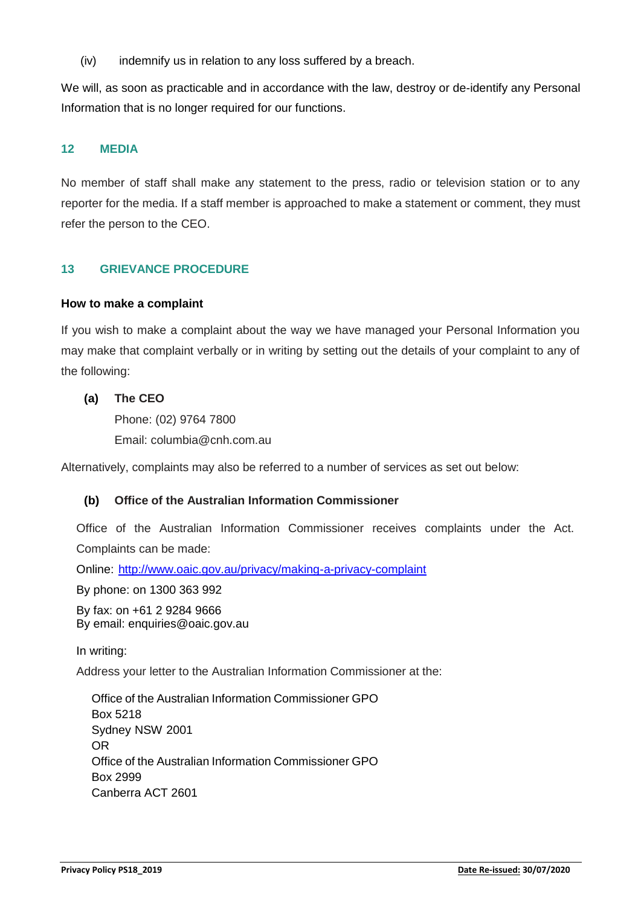(iv) indemnify us in relation to any loss suffered by a breach.

We will, as soon as practicable and in accordance with the law, destroy or de-identify any Personal Information that is no longer required for our functions.

## **12 MEDIA**

No member of staff shall make any statement to the press, radio or television station or to any reporter for the media. If a staff member is approached to make a statement or comment, they must refer the person to the CEO.

## **13 GRIEVANCE PROCEDURE**

#### **How to make a complaint**

If you wish to make a complaint about the way we have managed your Personal Information you may make that complaint verbally or in writing by setting out the details of your complaint to any of the following:

## **(a) The CEO**

Phone: (02) 9764 7800 Email: [columbia@cnh.com.au](mailto:columbia@cnh.com.au)

Alternatively, complaints may also be referred to a number of services as set out below:

#### **(b) Office of the Australian Information Commissioner**

Office of the Australian Information Commissioner receives complaints under the Act. Complaints can be made:

Online:<http://www.oaic.gov.au/privacy/making-a-privacy-complaint>

By phone: on 1300 363 992

By fax: on +61 2 9284 9666 By email: enquiries@oaic.gov.au

In writing:

Address your letter to the Australian Information Commissioner at the:

Office of the Australian Information Commissioner GPO Box 5218 Sydney NSW 2001 OR Office of the Australian Information Commissioner GPO Box 2999 Canberra ACT 2601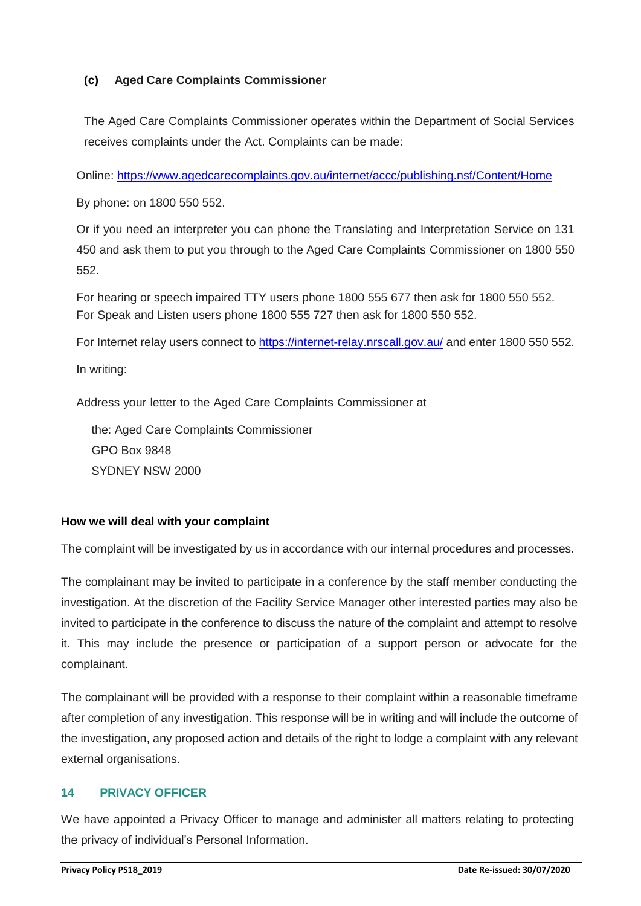## **(c) Aged Care Complaints Commissioner**

The Aged Care Complaints Commissioner operates within the Department of Social Services receives complaints under the Act. Complaints can be made:

Online:<https://www.agedcarecomplaints.gov.au/internet/accc/publishing.nsf/Content/Home>

By phone: on 1800 550 552.

Or if you need an interpreter you can phone the Translating and Interpretation Service on 131 450 and ask them to put you through to the Aged Care Complaints Commissioner on 1800 550 552.

For hearing or speech impaired TTY users phone 1800 555 677 then ask for 1800 550 552. For Speak and Listen users phone 1800 555 727 then ask for 1800 550 552.

For Internet relay users connect to<https://internet-relay.nrscall.gov.au/> and enter 1800 550 552.

In writing:

Address your letter to the Aged Care Complaints Commissioner at

the: Aged Care Complaints Commissioner GPO Box 9848 SYDNEY NSW 2000

## **How we will deal with your complaint**

The complaint will be investigated by us in accordance with our internal procedures and processes.

The complainant may be invited to participate in a conference by the staff member conducting the investigation. At the discretion of the Facility Service Manager other interested parties may also be invited to participate in the conference to discuss the nature of the complaint and attempt to resolve it. This may include the presence or participation of a support person or advocate for the complainant.

The complainant will be provided with a response to their complaint within a reasonable timeframe after completion of any investigation. This response will be in writing and will include the outcome of the investigation, any proposed action and details of the right to lodge a complaint with any relevant external organisations.

## **14 PRIVACY OFFICER**

We have appointed a Privacy Officer to manage and administer all matters relating to protecting the privacy of individual's Personal Information.